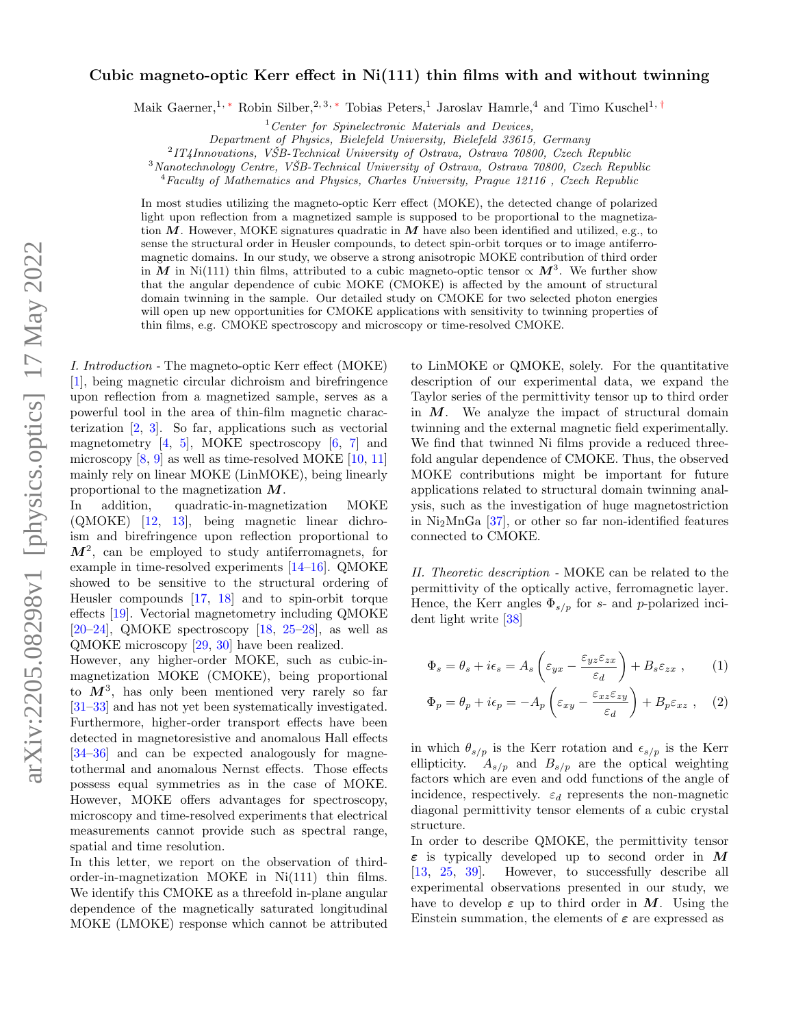## arXiv:2205.08298v1 [physics.optics] 17 May 2022 arXiv:2205.08298v1 [physics.optics] 17 May 2022

## Cubic magneto-optic Kerr effect in Ni(111) thin films with and without twinning

Maik Gaerner,<sup>1, \*</sup> Robin Silber,<sup>2, 3, \*</sup> Tobias Peters,<sup>1</sup> Jaroslav Hamrle,<sup>4</sup> and Timo Kuschel<sup>1,[†](#page-4-1)</sup>

 $1$ <sup>1</sup> Center for Spinelectronic Materials and Devices,

Department of Physics, Bielefeld University, Bielefeld 33615, Germany

 $^{2}IT4$ Innovations, VŠB-Technical University of Ostrava, Ostrava 70800, Czech Republic

 $3$ Nanotechnology Centre, VŠB-Technical University of Ostrava, Ostrava  $70800$ , Czech Republic

<sup>4</sup>Faculty of Mathematics and Physics, Charles University, Prague 12116 , Czech Republic

In most studies utilizing the magneto-optic Kerr effect (MOKE), the detected change of polarized light upon reflection from a magnetized sample is supposed to be proportional to the magnetization  $M$ . However, MOKE signatures quadratic in  $M$  have also been identified and utilized, e.g., to sense the structural order in Heusler compounds, to detect spin-orbit torques or to image antiferromagnetic domains. In our study, we observe a strong anisotropic MOKE contribution of third order in M in Ni(111) thin films, attributed to a cubic magneto-optic tensor  $\propto M^3$ . We further show that the angular dependence of cubic MOKE (CMOKE) is affected by the amount of structural domain twinning in the sample. Our detailed study on CMOKE for two selected photon energies will open up new opportunities for CMOKE applications with sensitivity to twinning properties of thin films, e.g. CMOKE spectroscopy and microscopy or time-resolved CMOKE.

I. Introduction - The magneto-optic Kerr effect (MOKE) [\[1\]](#page-4-2), being magnetic circular dichroism and birefringence upon reflection from a magnetized sample, serves as a powerful tool in the area of thin-film magnetic characterization [\[2,](#page-4-3) [3\]](#page-4-4). So far, applications such as vectorial magnetometry  $[4, 5]$  $[4, 5]$  $[4, 5]$ , MOKE spectroscopy  $[6, 7]$  $[6, 7]$  $[6, 7]$  and microscopy  $[8, 9]$  $[8, 9]$  $[8, 9]$  as well as time-resolved MOKE  $[10, 11]$  $[10, 11]$  $[10, 11]$ mainly rely on linear MOKE (LinMOKE), being linearly proportional to the magnetization  $M$ .

In addition, quadratic-in-magnetization MOKE (QMOKE) [\[12,](#page-4-13) [13\]](#page-4-14), being magnetic linear dichroism and birefringence upon reflection proportional to  $M^2$ , can be employed to study antiferromagnets, for example in time-resolved experiments [\[14–](#page-5-0)[16\]](#page-5-1). QMOKE showed to be sensitive to the structural ordering of Heusler compounds [\[17,](#page-5-2) [18\]](#page-5-3) and to spin-orbit torque effects [\[19\]](#page-5-4). Vectorial magnetometry including QMOKE  $[20-24]$  $[20-24]$ , QMOKE spectroscopy  $[18, 25-28]$  $[18, 25-28]$  $[18, 25-28]$ , as well as QMOKE microscopy [\[29,](#page-5-9) [30\]](#page-5-10) have been realized.

However, any higher-order MOKE, such as cubic-inmagnetization MOKE (CMOKE), being proportional to  $M^3$ , has only been mentioned very rarely so far [\[31–](#page-5-11)[33\]](#page-5-12) and has not yet been systematically investigated. Furthermore, higher-order transport effects have been detected in magnetoresistive and anomalous Hall effects [\[34–](#page-5-13)[36\]](#page-5-14) and can be expected analogously for magnetothermal and anomalous Nernst effects. Those effects possess equal symmetries as in the case of MOKE. However, MOKE offers advantages for spectroscopy, microscopy and time-resolved experiments that electrical measurements cannot provide such as spectral range, spatial and time resolution.

In this letter, we report on the observation of thirdorder-in-magnetization MOKE in Ni(111) thin films. We identify this CMOKE as a threefold in-plane angular dependence of the magnetically saturated longitudinal MOKE (LMOKE) response which cannot be attributed

to LinMOKE or QMOKE, solely. For the quantitative description of our experimental data, we expand the Taylor series of the permittivity tensor up to third order in  $M$ . We analyze the impact of structural domain twinning and the external magnetic field experimentally. We find that twinned Ni films provide a reduced threefold angular dependence of CMOKE. Thus, the observed MOKE contributions might be important for future applications related to structural domain twinning analysis, such as the investigation of huge magnetostriction in  $Ni<sub>2</sub>MnGa$  [\[37\]](#page-5-15), or other so far non-identified features connected to CMOKE.

II. Theoretic description - MOKE can be related to the permittivity of the optically active, ferromagnetic layer. Hence, the Kerr angles  $\Phi_{s/p}$  for s- and p-polarized incident light write [\[38\]](#page-5-16)

<span id="page-0-0"></span>
$$
\Phi_s = \theta_s + i\epsilon_s = A_s \left(\varepsilon_{yx} - \frac{\varepsilon_{yz}\varepsilon_{zx}}{\varepsilon_d}\right) + B_s \varepsilon_{zx} , \qquad (1)
$$

<span id="page-0-1"></span>
$$
\Phi_p = \theta_p + i\epsilon_p = -A_p \left( \varepsilon_{xy} - \frac{\varepsilon_{xz}\varepsilon_{zy}}{\varepsilon_d} \right) + B_p \varepsilon_{xz} , \quad (2)
$$

in which  $\theta_{s/p}$  is the Kerr rotation and  $\epsilon_{s/p}$  is the Kerr ellipticity.  $A_{s/p}$  and  $B_{s/p}$  are the optical weighting factors which are even and odd functions of the angle of incidence, respectively.  $\varepsilon_d$  represents the non-magnetic diagonal permittivity tensor elements of a cubic crystal structure.

In order to describe QMOKE, the permittivity tensor  $\varepsilon$  is typically developed up to second order in M [\[13,](#page-4-14) [25,](#page-5-7) [39\]](#page-5-17). However, to successfully describe all experimental observations presented in our study, we have to develop  $\varepsilon$  up to third order in M. Using the Einstein summation, the elements of  $\varepsilon$  are expressed as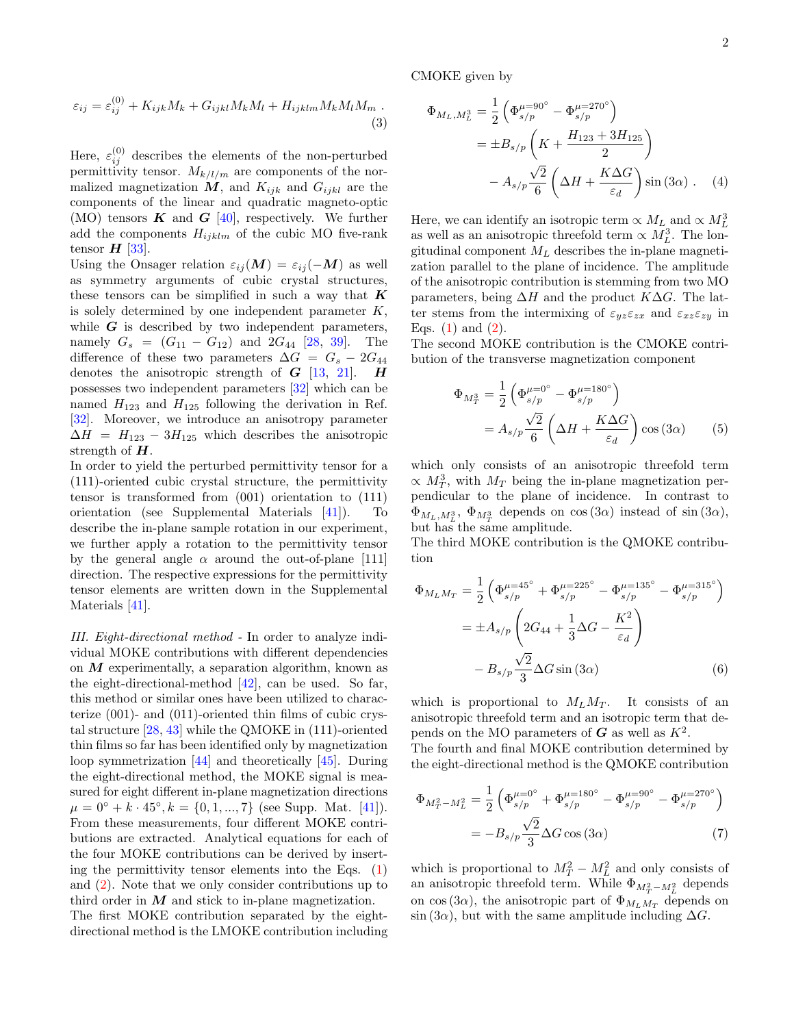CMOKE given by

$$
\varepsilon_{ij} = \varepsilon_{ij}^{(0)} + K_{ijk}M_k + G_{ijkl}M_kM_l + H_{ijklm}M_kM_lM_m.
$$
\n(3)

 $(0)$ 

Here,  $\varepsilon_{ij}^{(0)}$  describes the elements of the non-perturbed permittivity tensor.  $M_{k/l/m}$  are components of the normalized magnetization  $M$ , and  $K_{ijk}$  and  $G_{ijkl}$  are the components of the linear and quadratic magneto-optic (MO) tensors  $\boldsymbol{K}$  and  $\boldsymbol{G}$  [\[40\]](#page-5-18), respectively. We further add the components  $H_{ijklm}$  of the cubic MO five-rank tensor  $H$  [\[33\]](#page-5-12).

Using the Onsager relation  $\varepsilon_{ij}(M) = \varepsilon_{ij}(-M)$  as well as symmetry arguments of cubic crystal structures, these tensors can be simplified in such a way that  $K$ is solely determined by one independent parameter K, while  $G$  is described by two independent parameters, namely  $G_s = (G_{11} - G_{12})$  and  $2G_{44}$  [\[28,](#page-5-8) [39\]](#page-5-17). The difference of these two parameters  $\Delta G = G_s - 2G_{44}$ denotes the anisotropic strength of  $G$  [\[13,](#page-4-14) [21\]](#page-5-19).  $H$ possesses two independent parameters [\[32\]](#page-5-20) which can be named  $H_{123}$  and  $H_{125}$  following the derivation in Ref. [\[32\]](#page-5-20). Moreover, we introduce an anisotropy parameter  $\Delta H = H_{123} - 3H_{125}$  which describes the anisotropic strength of  $H$ .

In order to yield the perturbed permittivity tensor for a (111)-oriented cubic crystal structure, the permittivity tensor is transformed from (001) orientation to (111) orientation (see Supplemental Materials [\[41\]](#page-5-21)). To describe the in-plane sample rotation in our experiment, we further apply a rotation to the permittivity tensor by the general angle  $\alpha$  around the out-of-plane [111] direction. The respective expressions for the permittivity tensor elements are written down in the Supplemental Materials [\[41\]](#page-5-21).

III. Eight-directional method - In order to analyze individual MOKE contributions with different dependencies on  $M$  experimentally, a separation algorithm, known as the eight-directional-method [\[42\]](#page-5-22), can be used. So far, this method or similar ones have been utilized to characterize (001)- and (011)-oriented thin films of cubic crystal structure [\[28,](#page-5-8) [43\]](#page-5-23) while the QMOKE in (111)-oriented thin films so far has been identified only by magnetization loop symmetrization [\[44\]](#page-5-24) and theoretically [\[45\]](#page-5-25). During the eight-directional method, the MOKE signal is measured for eight different in-plane magnetization directions  $\mu = 0^{\circ} + k \cdot 45^{\circ}, k = \{0, 1, ..., 7\}$  (see Supp. Mat. [\[41\]](#page-5-21)). From these measurements, four different MOKE contributions are extracted. Analytical equations for each of the four MOKE contributions can be derived by inserting the permittivity tensor elements into the Eqs.  $(1)$ and [\(2\)](#page-0-1). Note that we only consider contributions up to third order in  $M$  and stick to in-plane magnetization.

The first MOKE contribution separated by the eightdirectional method is the LMOKE contribution including

<span id="page-1-0"></span>
$$
\Phi_{M_L, M_L^3} = \frac{1}{2} \left( \Phi_{s/p}^{\mu=90^\circ} - \Phi_{s/p}^{\mu=270^\circ} \right)
$$
  

$$
= \pm B_{s/p} \left( K + \frac{H_{123} + 3H_{125}}{2} \right)
$$
  

$$
- A_{s/p} \frac{\sqrt{2}}{6} \left( \Delta H + \frac{K \Delta G}{\varepsilon_d} \right) \sin(3\alpha) . \quad (4)
$$

Here, we can identify an isotropic term  $\propto M_L$  and  $\propto M_L^3$ as well as an anisotropic threefold term  $\propto M_L^3$ . The longitudinal component  $M_L$  describes the in-plane magnetization parallel to the plane of incidence. The amplitude of the anisotropic contribution is stemming from two MO parameters, being  $\Delta H$  and the product K $\Delta G$ . The latter stems from the intermixing of  $\varepsilon_{yz}\varepsilon_{zx}$  and  $\varepsilon_{xz}\varepsilon_{zy}$  in Eqs.  $(1)$  and  $(2)$ .

The second MOKE contribution is the CMOKE contribution of the transverse magnetization component

<span id="page-1-3"></span>
$$
\Phi_{M_T^3} = \frac{1}{2} \left( \Phi_{s/p}^{\mu=0^\circ} - \Phi_{s/p}^{\mu=180^\circ} \right)
$$

$$
= A_{s/p} \frac{\sqrt{2}}{6} \left( \Delta H + \frac{K \Delta G}{\varepsilon_d} \right) \cos(3\alpha) \qquad (5)
$$

which only consists of an anisotropic threefold term  $\propto M_T^3$ , with  $M_T$  being the in-plane magnetization perpendicular to the plane of incidence. In contrast to  $\Phi_{M_L, M_L^3}$ ,  $\Phi_{M_T^3}$  depends on cos  $(3\alpha)$  instead of sin  $(3\alpha)$ , but has the same amplitude.

The third MOKE contribution is the QMOKE contribution

$$
\Phi_{M_L M_T} = \frac{1}{2} \left( \Phi_{s/p}^{\mu=45^{\circ}} + \Phi_{s/p}^{\mu=225^{\circ}} - \Phi_{s/p}^{\mu=135^{\circ}} - \Phi_{s/p}^{\mu=315^{\circ}} \right)
$$
  
=  $\pm A_{s/p} \left( 2G_{44} + \frac{1}{3} \Delta G - \frac{K^2}{\varepsilon_d} \right)$   
-  $B_{s/p} \frac{\sqrt{2}}{3} \Delta G \sin(3\alpha)$  (6)

<span id="page-1-2"></span>which is proportional to  $M_L M_T$ . It consists of an anisotropic threefold term and an isotropic term that depends on the MO parameters of  $G$  as well as  $K^2$ .

The fourth and final MOKE contribution determined by the eight-directional method is the QMOKE contribution

<span id="page-1-1"></span>
$$
\Phi_{M_T^2 - M_L^2} = \frac{1}{2} \left( \Phi_{s/p}^{\mu=0^{\circ}} + \Phi_{s/p}^{\mu=180^{\circ}} - \Phi_{s/p}^{\mu=90^{\circ}} - \Phi_{s/p}^{\mu=270^{\circ}} \right)
$$

$$
= -B_{s/p} \frac{\sqrt{2}}{3} \Delta G \cos(3\alpha) \tag{7}
$$

which is proportional to  $M_T^2 - M_L^2$  and only consists of an anisotropic threefold term. While  $\Phi_{M_T^2 - M_L^2}$  depends on cos (3α), the anisotropic part of  $\Phi_{M_LM_T}$  depends on  $\sin(3\alpha)$ , but with the same amplitude including  $\Delta G$ .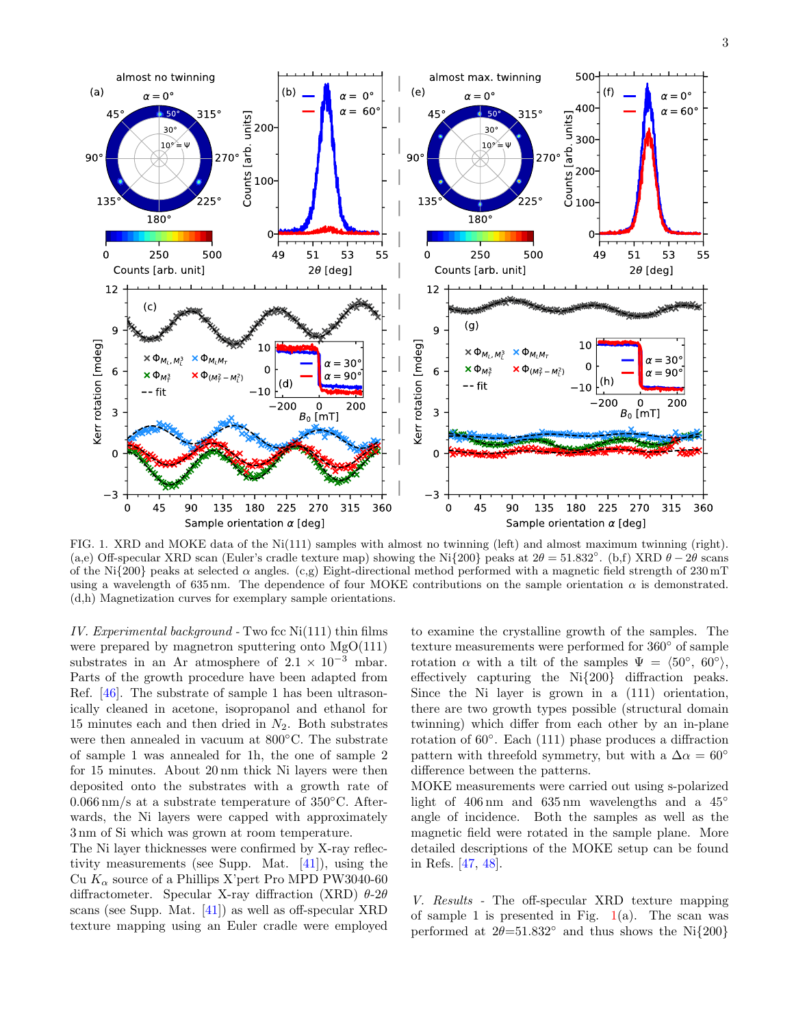

<span id="page-2-0"></span>FIG. 1. XRD and MOKE data of the Ni(111) samples with almost no twinning (left) and almost maximum twinning (right). (a,e) Off-specular XRD scan (Euler's cradle texture map) showing the Ni $\{200\}$  peaks at  $2\theta = 51.832°$ . (b,f) XRD  $\theta - 2\theta$  scans of the Ni{200} peaks at selected  $\alpha$  angles. (c,g) Eight-directional method performed with a magnetic field strength of 230 mT using a wavelength of 635 nm. The dependence of four MOKE contributions on the sample orientation  $\alpha$  is demonstrated. (d,h) Magnetization curves for exemplary sample orientations.

IV. Experimental background - Two fcc  $Ni(111)$  thin films were prepared by magnetron sputtering onto  $MgO(111)$ substrates in an Ar atmosphere of  $2.1 \times 10^{-3}$  mbar. Parts of the growth procedure have been adapted from Ref. [\[46\]](#page-5-26). The substrate of sample 1 has been ultrasonically cleaned in acetone, isopropanol and ethanol for 15 minutes each and then dried in  $N_2$ . Both substrates were then annealed in vacuum at 800◦C. The substrate of sample 1 was annealed for 1h, the one of sample 2 for 15 minutes. About 20 nm thick Ni layers were then deposited onto the substrates with a growth rate of  $0.066 \,\mathrm{nm/s}$  at a substrate temperature of 350 $\degree$ C. Afterwards, the Ni layers were capped with approximately 3 nm of Si which was grown at room temperature.

The Ni layer thicknesses were confirmed by X-ray reflectivity measurements (see Supp. Mat. [\[41\]](#page-5-21)), using the Cu  $K_{\alpha}$  source of a Phillips X'pert Pro MPD PW3040-60 diffractometer. Specular X-ray diffraction (XRD)  $\theta$ -2 $\theta$ scans (see Supp. Mat. [\[41\]](#page-5-21)) as well as off-specular XRD texture mapping using an Euler cradle were employed

to examine the crystalline growth of the samples. The texture measurements were performed for 360◦ of sample rotation  $\alpha$  with a tilt of the samples  $\Psi = \langle 50^\circ, 60^\circ \rangle$ , effectively capturing the Ni{200} diffraction peaks. Since the Ni layer is grown in a (111) orientation, there are two growth types possible (structural domain twinning) which differ from each other by an in-plane rotation of 60◦ . Each (111) phase produces a diffraction pattern with threefold symmetry, but with a  $\Delta \alpha = 60^{\circ}$ difference between the patterns.

MOKE measurements were carried out using s-polarized light of 406 nm and 635 nm wavelengths and a 45<sup>°</sup> angle of incidence. Both the samples as well as the magnetic field were rotated in the sample plane. More detailed descriptions of the MOKE setup can be found in Refs. [\[47,](#page-5-27) [48\]](#page-5-28).

V. Results - The off-specular XRD texture mapping of sample 1 is presented in Fig.  $1(a)$  $1(a)$ . The scan was performed at  $2\theta = 51.832°$  and thus shows the Ni{200}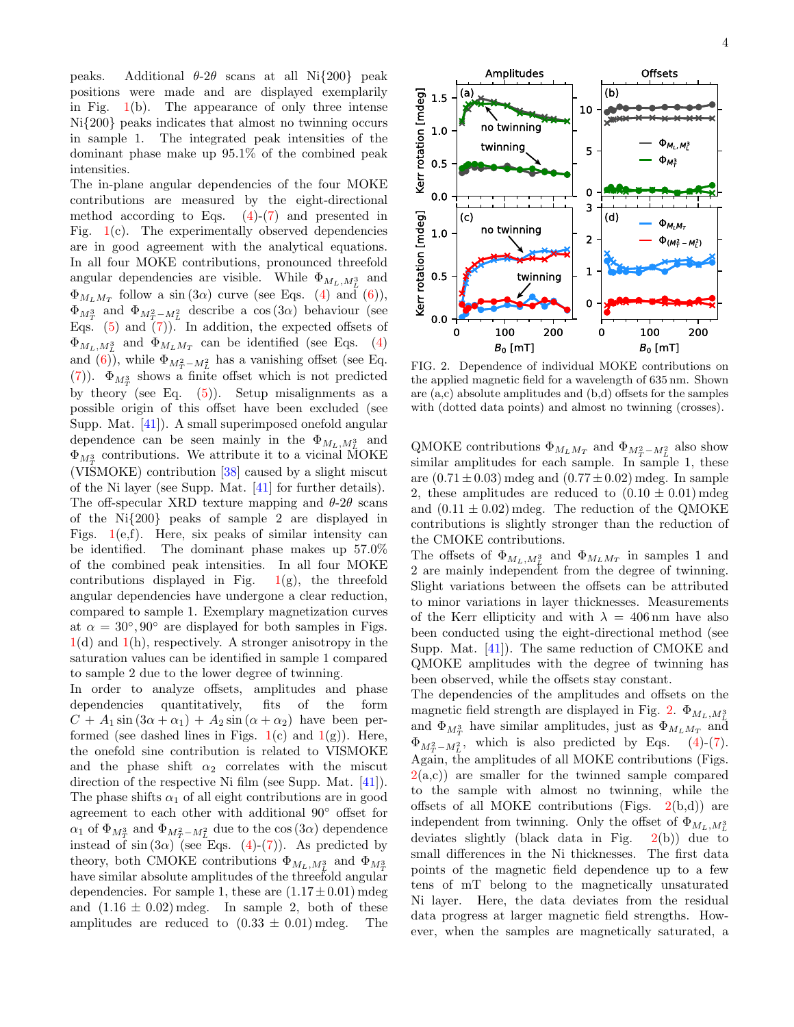peaks. Additional  $\theta$ -2 $\theta$  scans at all Ni{200} peak positions were made and are displayed exemplarily in Fig.  $1(b)$  $1(b)$ . The appearance of only three intense Ni{200} peaks indicates that almost no twinning occurs in sample 1. The integrated peak intensities of the dominant phase make up 95.1% of the combined peak intensities.

The in-plane angular dependencies of the four MOKE contributions are measured by the eight-directional method according to Eqs.  $(4)-(7)$  $(4)-(7)$  $(4)-(7)$  and presented in Fig. [1\(](#page-2-0)c). The experimentally observed dependencies are in good agreement with the analytical equations. In all four MOKE contributions, pronounced threefold angular dependencies are visible. While  $\Phi_{M_L, M_L^3}$  and  $\Phi_{M_L M_T}$  follow a sin  $(3\alpha)$  curve (see Eqs. [\(4\)](#page-1-0) and [\(6\)](#page-1-2)),  $\Phi_{M_T^3}$  and  $\Phi_{M_T^2 - M_L^2}$  describe a cos  $(3\alpha)$  behaviour (see Eqs.  $(5)$  and  $(7)$ ). In addition, the expected offsets of  $\Phi_{M_L,M_L^3}$  and  $\Phi_{M_L M_T}$  can be identified (see Eqs. [\(4\)](#page-1-0) and [\(6\)](#page-1-2)), while  $\Phi_{M_T^2 - M_L^2}$  has a vanishing offset (see Eq. [\(7\)](#page-1-1)).  $\Phi_{M_T^3}$  shows a finite offset which is not predicted by theory (see Eq.  $(5)$ ). Setup misalignments as a possible origin of this offset have been excluded (see Supp. Mat. [\[41\]](#page-5-21)). A small superimposed onefold angular dependence can be seen mainly in the  $\Phi_{M_L,M_L^3}$  and  $\Phi_{M_T^3}$  contributions. We attribute it to a vicinal MOKE (VISMOKE) contribution [\[38\]](#page-5-16) caused by a slight miscut of the Ni layer (see Supp. Mat. [\[41\]](#page-5-21) for further details). The off-specular XRD texture mapping and  $\theta$ -2 $\theta$  scans of the Ni{200} peaks of sample 2 are displayed in Figs.  $1(e,f)$  $1(e,f)$ . Here, six peaks of similar intensity can be identified. The dominant phase makes up 57.0% of the combined peak intensities. In all four MOKE contributions displayed in Fig.  $1(g)$  $1(g)$ , the threefold angular dependencies have undergone a clear reduction, compared to sample 1. Exemplary magnetization curves at  $\alpha = 30^{\circ}, 90^{\circ}$  are displayed for both samples in Figs.  $1(d)$  $1(d)$  and  $1(h)$ , respectively. A stronger anisotropy in the saturation values can be identified in sample 1 compared to sample 2 due to the lower degree of twinning.

In order to analyze offsets, amplitudes and phase dependencies quantitatively, fits of the form  $C + A_1 \sin(3\alpha + \alpha_1) + A_2 \sin(\alpha + \alpha_2)$  have been performed (see dashed lines in Figs.  $1(c)$  $1(c)$  and  $1(g)$ ). Here, the onefold sine contribution is related to VISMOKE and the phase shift  $\alpha_2$  correlates with the miscut direction of the respective Ni film (see Supp. Mat. [\[41\]](#page-5-21)). The phase shifts  $\alpha_1$  of all eight contributions are in good agreement to each other with additional 90◦ offset for  $\alpha_1$  of  $\Phi_{M_T^3}$  and  $\Phi_{M_T^2 - M_L^2}$  due to the cos  $(3\alpha)$  dependence instead of  $sin(3\alpha)$  (see Eqs. [\(4\)](#page-1-0)-[\(7\)](#page-1-1)). As predicted by theory, both CMOKE contributions  $\Phi_{M_L, M_L^3}$  and  $\Phi_{M_T^3}$ have similar absolute amplitudes of the threefold angular dependencies. For sample 1, these are  $(1.17 \pm 0.01)$  mdeg and  $(1.16 \pm 0.02)$  mdeg. In sample 2, both of these amplitudes are reduced to  $(0.33 \pm 0.01)$  mdeg. The



<span id="page-3-0"></span>FIG. 2. Dependence of individual MOKE contributions on the applied magnetic field for a wavelength of 635 nm. Shown are (a,c) absolute amplitudes and (b,d) offsets for the samples with (dotted data points) and almost no twinning (crosses).

QMOKE contributions  $\Phi_{M_L M_T}$  and  $\Phi_{M_T^2 - M_L^2}$  also show similar amplitudes for each sample. In sample 1, these are  $(0.71 \pm 0.03)$  mdeg and  $(0.77 \pm 0.02)$  mdeg. In sample 2, these amplitudes are reduced to  $(0.10 \pm 0.01)$  mdeg and  $(0.11 \pm 0.02)$  mdeg. The reduction of the QMOKE contributions is slightly stronger than the reduction of the CMOKE contributions.

The offsets of  $\Phi_{M_L,M_L^3}$  and  $\Phi_{M_LM_T}$  in samples 1 and 2 are mainly independent from the degree of twinning. Slight variations between the offsets can be attributed to minor variations in layer thicknesses. Measurements of the Kerr ellipticity and with  $\lambda = 406$  nm have also been conducted using the eight-directional method (see Supp. Mat. [\[41\]](#page-5-21)). The same reduction of CMOKE and QMOKE amplitudes with the degree of twinning has been observed, while the offsets stay constant.

The dependencies of the amplitudes and offsets on the magnetic field strength are displayed in Fig. [2.](#page-3-0)  $\Phi_{M_L, M_L^3}$ and  $\Phi_{M_T^3}$  have similar amplitudes, just as  $\Phi_{M_L M_T}$  and  $\Phi_{M_T^2 - M_L^2}$ , which is also predicted by Eqs. [\(4\)](#page-1-0)-[\(7\)](#page-1-1). Again, the amplitudes of all MOKE contributions (Figs.  $2(a,c)$  $2(a,c)$  are smaller for the twinned sample compared to the sample with almost no twinning, while the offsets of all MOKE contributions (Figs.  $2(b,d)$  $2(b,d)$ ) are independent from twinning. Only the offset of  $\Phi_{M_L,M_L^3}$ deviates slightly (black data in Fig.  $2(b)$  $2(b)$ ) due to small differences in the Ni thicknesses. The first data points of the magnetic field dependence up to a few tens of mT belong to the magnetically unsaturated Ni layer. Here, the data deviates from the residual data progress at larger magnetic field strengths. However, when the samples are magnetically saturated, a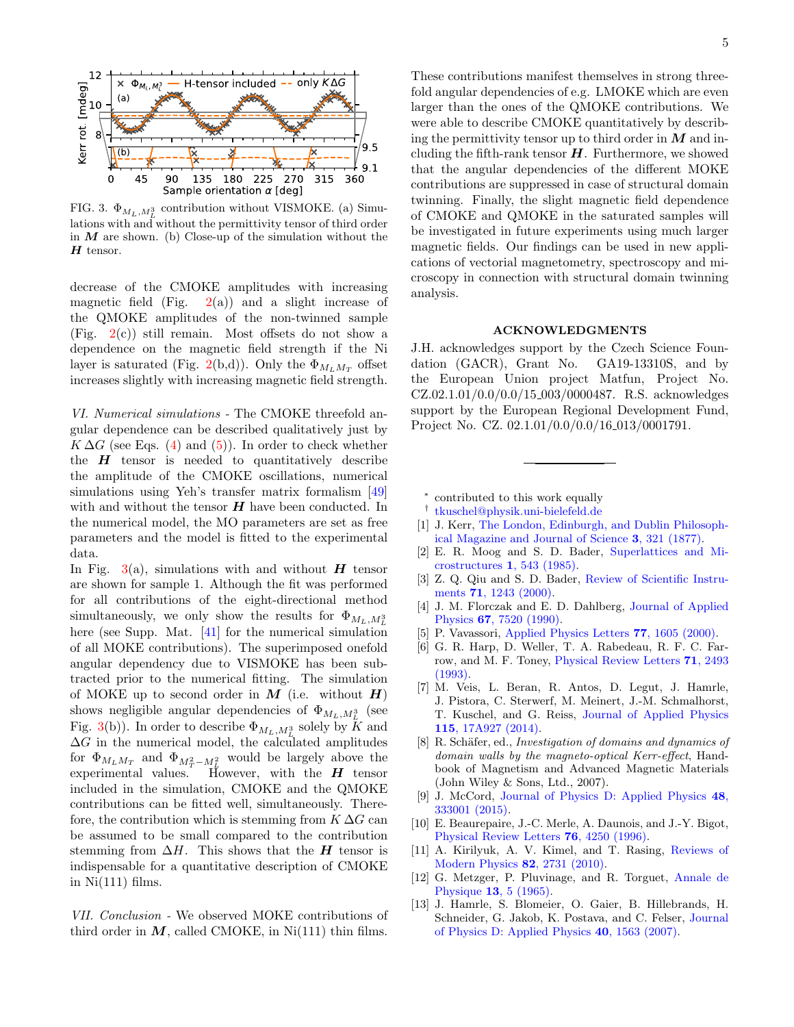

<span id="page-4-15"></span>FIG. 3.  $\Phi_{M_L, M_L^3}$  contribution without VISMOKE. (a) Simulations with and without the permittivity tensor of third order in  $M$  are shown. (b) Close-up of the simulation without the  $H$  tensor.

decrease of the CMOKE amplitudes with increasing magnetic field (Fig.  $2(a)$  $2(a)$ ) and a slight increase of the QMOKE amplitudes of the non-twinned sample (Fig. [2\(](#page-3-0)c)) still remain. Most offsets do not show a dependence on the magnetic field strength if the Ni layer is saturated (Fig. [2\(](#page-3-0)b,d)). Only the  $\Phi_{M_L M_T}$  offset increases slightly with increasing magnetic field strength.

VI. Numerical simulations - The CMOKE threefold angular dependence can be described qualitatively just by  $K \Delta G$  (see Eqs. [\(4\)](#page-1-0) and [\(5\)](#page-1-3)). In order to check whether the  $H$  tensor is needed to quantitatively describe the amplitude of the CMOKE oscillations, numerical simulations using Yeh's transfer matrix formalism [\[49\]](#page-5-29) with and without the tensor  $H$  have been conducted. In the numerical model, the MO parameters are set as free parameters and the model is fitted to the experimental data.

In Fig. [3\(](#page-4-15)a), simulations with and without  $H$  tensor are shown for sample 1. Although the fit was performed for all contributions of the eight-directional method simultaneously, we only show the results for  $\Phi_{M_L, M_L^3}$ here (see Supp. Mat. [\[41\]](#page-5-21) for the numerical simulation of all MOKE contributions). The superimposed onefold angular dependency due to VISMOKE has been subtracted prior to the numerical fitting. The simulation of MOKE up to second order in  $M$  (i.e. without  $H$ ) shows negligible angular dependencies of  $\Phi_{M_L,M_L^3}$  (see Fig. [3\(](#page-4-15)b)). In order to describe  $\Phi_{M_L, M^3_L}$  solely by K and  $\Delta G$  in the numerical model, the calculated amplitudes for  $\Phi_{M_L M_T}$  and  $\Phi_{M_T^2 - M_L^2}$  would be largely above the experimental values. However, with the  $H$  tensor included in the simulation, CMOKE and the QMOKE contributions can be fitted well, simultaneously. Therefore, the contribution which is stemming from  $K \Delta G$  can be assumed to be small compared to the contribution stemming from  $\Delta H$ . This shows that the H tensor is indispensable for a quantitative description of CMOKE in  $Ni(111)$  films.

VII. Conclusion - We observed MOKE contributions of third order in  $M$ , called CMOKE, in Ni(111) thin films.

These contributions manifest themselves in strong threefold angular dependencies of e.g. LMOKE which are even larger than the ones of the QMOKE contributions. We were able to describe CMOKE quantitatively by describing the permittivity tensor up to third order in  $M$  and including the fifth-rank tensor  $H$ . Furthermore, we showed that the angular dependencies of the different MOKE contributions are suppressed in case of structural domain twinning. Finally, the slight magnetic field dependence of CMOKE and QMOKE in the saturated samples will be investigated in future experiments using much larger magnetic fields. Our findings can be used in new applications of vectorial magnetometry, spectroscopy and microscopy in connection with structural domain twinning analysis.

## ACKNOWLEDGMENTS

J.H. acknowledges support by the Czech Science Foundation (GACR), Grant No. GA19-13310S, and by the European Union project Matfun, Project No. CZ.02.1.01/0.0/0.0/15 003/0000487. R.S. acknowledges support by the European Regional Development Fund, Project No. CZ. 02.1.01/0.0/0.0/16 013/0001791.

<span id="page-4-0"></span>∗ contributed to this work equally

- <span id="page-4-1"></span>† [tkuschel@physik.uni-bielefeld.de](mailto:tkuschel@physik.uni-bielefeld.de)
- <span id="page-4-2"></span>[1] J. Kerr, [The London, Edinburgh, and Dublin Philosoph](https://doi.org/10.1080/14786447708639245)[ical Magazine and Journal of Science](https://doi.org/10.1080/14786447708639245) 3, 321 (1877).
- <span id="page-4-3"></span>[2] E. R. Moog and S. D. Bader, [Superlattices and Mi](https://doi.org/10.1016/S0749-6036(85)80028-8)[crostructures](https://doi.org/10.1016/S0749-6036(85)80028-8) 1, 543 (1985).
- <span id="page-4-4"></span>[3] Z. Q. Qiu and S. D. Bader, [Review of Scientific Instru](https://doi.org/10.1063/1.1150496)ments 71[, 1243 \(2000\).](https://doi.org/10.1063/1.1150496)
- <span id="page-4-5"></span>[4] J. M. Florczak and E. D. Dahlberg, [Journal of Applied](https://doi.org/10.1063/1.345813) Physics 67[, 7520 \(1990\).](https://doi.org/10.1063/1.345813)
- <span id="page-4-6"></span>[5] P. Vavassori, [Applied Physics Letters](https://doi.org/10.1063/1.1310169) 77, 1605 (2000).
- <span id="page-4-7"></span>[6] G. R. Harp, D. Weller, T. A. Rabedeau, R. F. C. Farrow, and M. F. Toney, [Physical Review Letters](https://doi.org/10.1103/PhysRevLett.71.2493) 71, 2493 [\(1993\).](https://doi.org/10.1103/PhysRevLett.71.2493)
- <span id="page-4-8"></span>[7] M. Veis, L. Beran, R. Antos, D. Legut, J. Hamrle, J. Pistora, C. Sterwerf, M. Meinert, J.-M. Schmalhorst, T. Kuschel, and G. Reiss, [Journal of Applied Physics](https://doi.org/10.1063/1.4865463) 115[, 17A927 \(2014\).](https://doi.org/10.1063/1.4865463)
- <span id="page-4-9"></span>[8] R. Schäfer, ed., Investigation of domains and dynamics of domain walls by the magneto-optical Kerr-effect, Handbook of Magnetism and Advanced Magnetic Materials (John Wiley & Sons, Ltd., 2007).
- <span id="page-4-10"></span>[9] J. McCord, [Journal of Physics D: Applied Physics](https://doi.org/10.1088/0022-3727/48/33/333001) 48, [333001 \(2015\).](https://doi.org/10.1088/0022-3727/48/33/333001)
- <span id="page-4-11"></span>[10] E. Beaurepaire, J.-C. Merle, A. Daunois, and J.-Y. Bigot, [Physical Review Letters](https://doi.org/10.1103/PhysRevLett.76.4250) 76, 4250 (1996).
- <span id="page-4-12"></span>[11] A. Kirilyuk, A. V. Kimel, and T. Rasing, [Reviews of](https://doi.org/10.1103/RevModPhys.82.2731) [Modern Physics](https://doi.org/10.1103/RevModPhys.82.2731) 82, 2731 (2010).
- <span id="page-4-13"></span>[12] G. Metzger, P. Pluvinage, and R. Torguet, [Annale de](https://doi.org/10.1051/anphys/196513100005) Physique 13[, 5 \(1965\).](https://doi.org/10.1051/anphys/196513100005)
- <span id="page-4-14"></span>[13] J. Hamrle, S. Blomeier, O. Gaier, B. Hillebrands, H. Schneider, G. Jakob, K. Postava, and C. Felser, [Journal](https://doi.org/10.1088/0022-3727/40/6/s09) [of Physics D: Applied Physics](https://doi.org/10.1088/0022-3727/40/6/s09) 40, 1563 (2007).